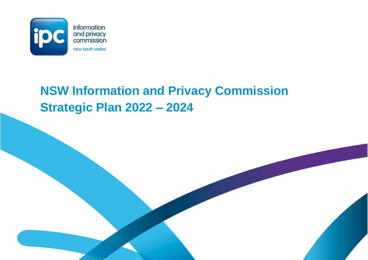

# **NSW Information and Privacy Commission Strategic Plan 2022 – 2024**

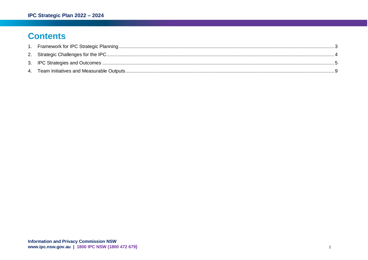# **Contents**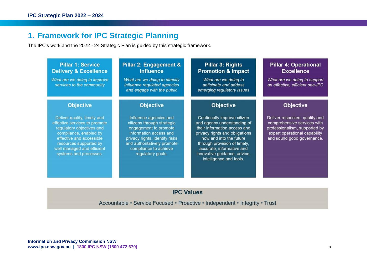# <span id="page-2-0"></span>**1. Framework for IPC Strategic Planning**

The IPC's work and the 2022 - 24 Strategic Plan is guided by this strategic framework.

| <b>Pillar 1: Service</b><br><b>Delivery &amp; Excellence</b><br>What are we doing to improve<br>services to the community                                                                                                         | Pillar 2: Engagement &<br><b>Influence</b><br>What are we doing to directly<br>influence regulated agencies<br>and engage with the public                                                                              | Pillar 3: Rights<br><b>Promotion &amp; Impact</b><br>What are we doing to<br>anticipate and addess<br>emerging regulatory issues                                                                                                                                                | <b>Pillar 4: Operational</b><br><b>Excellence</b><br>What are we doing to support<br>an effective, efficient one-IPC                                          |
|-----------------------------------------------------------------------------------------------------------------------------------------------------------------------------------------------------------------------------------|------------------------------------------------------------------------------------------------------------------------------------------------------------------------------------------------------------------------|---------------------------------------------------------------------------------------------------------------------------------------------------------------------------------------------------------------------------------------------------------------------------------|---------------------------------------------------------------------------------------------------------------------------------------------------------------|
| <b>Objective</b>                                                                                                                                                                                                                  | <b>Objective</b>                                                                                                                                                                                                       | <b>Objective</b>                                                                                                                                                                                                                                                                | <b>Objective</b>                                                                                                                                              |
| Deliver quality, timely and<br>effective services to promote<br>regulatory objectives and<br>compliance, enabled by<br>effective and accessible<br>resources supported by<br>well managed and efficient<br>systems and processes. | Influence agencies and<br>citizens through strategic<br>engagement to promote<br>information access and<br>privacy rights, identify risks<br>and authoritatively promote<br>compliance to achieve<br>regulatory goals. | Continually improve citizen<br>and agency understanding of<br>their information access and<br>privacy rights and obligations<br>now and into the future<br>through provision of timely,<br>accurate, informative and<br>innovative guidance, advice,<br>intelligence and tools. | Deliver respected, quality and<br>comprehensive services with<br>professionalism, supported by<br>expert operational capability<br>and sound good governance. |

### **IPC Values**

Accountable • Service Focused • Proactive • Independent • Integrity • Trust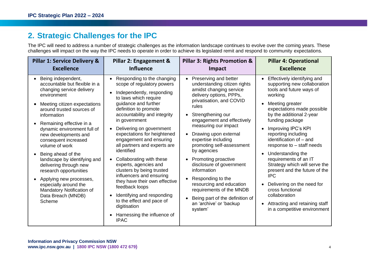# <span id="page-3-0"></span>**2. Strategic Challenges for the IPC**

The IPC will need to address a number of strategic challenges as the information landscape continues to evolve over the coming years. These challenges will impact on the way the IPC needs to operate in order to achieve its legislated remit and respond to community expectations.

| <b>Pillar 1: Service Delivery &amp;</b>                                                                                                                                                                                                                                                                                                                                                                                                                                                                                             | Pillar 2: Engagement &                                                                                                                                                                                                                                                                                                                                                                                                                                                                                                                                                                                                                         | <b>Pillar 3: Rights Promotion &amp;</b>                                                                                                                                                                                                                                                                                                                                                                                                                                                                                                         | <b>Pillar 4: Operational</b>                                                                                                                                                                                                                                                                                                                                                                                                                                                                                                                                                |  |
|-------------------------------------------------------------------------------------------------------------------------------------------------------------------------------------------------------------------------------------------------------------------------------------------------------------------------------------------------------------------------------------------------------------------------------------------------------------------------------------------------------------------------------------|------------------------------------------------------------------------------------------------------------------------------------------------------------------------------------------------------------------------------------------------------------------------------------------------------------------------------------------------------------------------------------------------------------------------------------------------------------------------------------------------------------------------------------------------------------------------------------------------------------------------------------------------|-------------------------------------------------------------------------------------------------------------------------------------------------------------------------------------------------------------------------------------------------------------------------------------------------------------------------------------------------------------------------------------------------------------------------------------------------------------------------------------------------------------------------------------------------|-----------------------------------------------------------------------------------------------------------------------------------------------------------------------------------------------------------------------------------------------------------------------------------------------------------------------------------------------------------------------------------------------------------------------------------------------------------------------------------------------------------------------------------------------------------------------------|--|
| <b>Excellence</b>                                                                                                                                                                                                                                                                                                                                                                                                                                                                                                                   | <b>Influence</b>                                                                                                                                                                                                                                                                                                                                                                                                                                                                                                                                                                                                                               | Impact                                                                                                                                                                                                                                                                                                                                                                                                                                                                                                                                          | <b>Excellence</b>                                                                                                                                                                                                                                                                                                                                                                                                                                                                                                                                                           |  |
| Being independent,<br>accountable but flexible in a<br>changing service delivery<br>environment<br>Meeting citizen expectations<br>around trusted sources of<br>information<br>Remaining effective in a<br>dynamic environment full of<br>new developments and<br>consequent increased<br>volume of work<br>Being ahead of the<br>landscape by identifying and<br>delivering through new<br>research opportunities<br>Applying new processes,<br>especially around the<br>Mandatory Notification of<br>Data Breach (MNDB)<br>Scheme | Responding to the changing<br>scope of regulatory powers<br>Independently, responding<br>to laws which require<br>guidance and further<br>definition to promote<br>accountability and integrity<br>in government<br>Delivering on government<br>expectations for heightened<br>engagement and ensuring<br>all partners and experts are<br>identified<br>Collaborating with these<br>experts, agencies and<br>clusters by being trusted<br>influencers and ensuring<br>they have their own effective<br>feedback loops<br>Identifying and responding<br>to the effect and pace of<br>digitisation<br>Harnessing the influence of<br><b>IPAC</b> | Preserving and better<br>understanding citizen rights<br>amidst changing service<br>delivery options, PPPs,<br>privatisation, and COVID<br>rules<br>Strengthening our<br>engagement and effectively<br>measuring our impact<br>Drawing upon external<br>expertise including<br>promoting self-assessment<br>by agencies<br>Promoting proactive<br>disclosure of government<br>information<br>Responding to the<br>resourcing and education<br>requirements of the MNDB<br>Being part of the definition of<br>an 'archive' or 'backup<br>system' | Effectively identifying and<br>supporting new collaboration<br>tools and future ways of<br>working<br>Meeting greater<br>expectations made possible<br>by the additional 2-year<br>funding package<br>Improving IPC's KPI<br>reporting including<br>identification of - and<br>response to – staff needs<br>Understanding the<br>requirements of an IT<br>Strategy which will serve the<br>present and the future of the<br><b>IPC</b><br>Delivering on the need for<br>cross functional<br>collaboration<br>Attracting and retaining staff<br>in a competitive environment |  |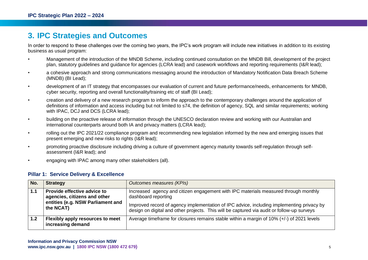# <span id="page-4-0"></span>**3. IPC Strategies and Outcomes**

In order to respond to these challenges over the coming two years, the IPC's work program will include new initiatives in addition to its existing business as usual program:

- Management of the introduction of the MNDB Scheme, including continued consultation on the MNDB Bill, development of the project plan, statutory guidelines and guidance for agencies (LCRA lead) and casework workflows and reporting requirements (I&R lead);
- a cohesive approach and strong communications messaging around the introduction of Mandatory Notification Data Breach Scheme (MNDB) (BI Lead);
- development of an IT strategy that encompasses our evaluation of current and future performance/needs, enhancements for MNDB, cyber security, reporting and overall functionality/training etc of staff (BI Lead);
- creation and delivery of a new research program to inform the approach to the contemporary challenges around the application of definitions of information and access including but not limited to s74, the definition of agency, SQL and similar requirements; working with IPAC, DCJ and DCS (LCRA lead);
- building on the proactive release of information through the UNESCO declaration review and working with our Australian and international counterparts around both IA and privacy matters (LCRA lead);
- rolling out the IPC 2021/22 compliance program and recommending new legislation informed by the new and emerging issues that present emerging and new risks to rights (I&R lead);
- promoting proactive disclosure including driving a culture of government agency maturity towards self-regulation through selfassessment (I&R lead); and
- engaging with IPAC among many other stakeholders (all).

#### **Pillar 1: Service Delivery & Excellence**

| No.              | <b>Strategy</b>                                                                                               | Outcomes measures (KPIs)                                                                                                                                                                                                                                                                              |
|------------------|---------------------------------------------------------------------------------------------------------------|-------------------------------------------------------------------------------------------------------------------------------------------------------------------------------------------------------------------------------------------------------------------------------------------------------|
| 1.1              | Provide effective advice to<br>agencies, citizens and other<br>entities (e.g. NSW Parliament and<br>the NCAT) | Increased agency and citizen engagement with IPC materials measured through monthly<br>dashboard reporting<br>Improved record of agency implementation of IPC advice, including implementing privacy by<br>design on digital and other projects. This will be captured via audit or follow-up surveys |
| 1.2 <sub>2</sub> | Flexibly apply resources to meet<br>increasing demand                                                         | Average timeframe for closures remains stable within a margin of 10% (+/-) of 2021 levels                                                                                                                                                                                                             |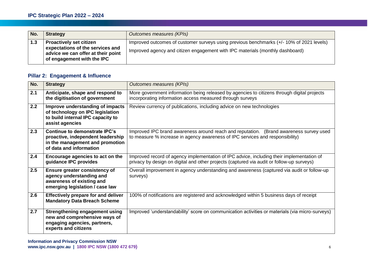| No. | <b>Strategy</b>                                                                                                                        | Outcomes measures (KPIs)                                                                                                                                                 |
|-----|----------------------------------------------------------------------------------------------------------------------------------------|--------------------------------------------------------------------------------------------------------------------------------------------------------------------------|
| 1.3 | <b>Proactively set citizen</b><br>expectations of the services and<br>advice we can offer at their point<br>of engagement with the IPC | Improved outcomes of customer surveys using previous benchmarks (+/-10% of 2021 levels)<br>Improved agency and citizen engagement with IPC materials (monthly dashboard) |

## **Pillar 2: Engagement & Influence**

| No. | <b>Strategy</b>                                                                                                                  | <b>Outcomes measures (KPIs)</b>                                                                                                                                                        |  |
|-----|----------------------------------------------------------------------------------------------------------------------------------|----------------------------------------------------------------------------------------------------------------------------------------------------------------------------------------|--|
| 2.1 | Anticipate, shape and respond to<br>the digitisation of government                                                               | More government information being released by agencies to citizens through digital projects<br>incorporating information access measured through surveys                               |  |
| 2.2 | Improve understanding of impacts<br>of technology on IPC legislation<br>to build internal IPC capacity to<br>assist agencies     | Review currency of publications, including advice on new technologies                                                                                                                  |  |
| 2.3 | Continue to demonstrate IPC's<br>proactive, independent leadership<br>in the management and promotion<br>of data and information | Improved IPC brand awareness around reach and reputation. (Brand awareness survey used<br>to measure % increase in agency awareness of IPC services and responsibility)                |  |
| 2.4 | Encourage agencies to act on the<br>guidance IPC provides                                                                        | Improved record of agency implementation of IPC advice, including their implementation of<br>privacy by design on digital and other projects (captured via audit or follow-up surveys) |  |
| 2.5 | <b>Ensure greater consistency of</b><br>agency understanding and<br>awareness of existing and<br>emerging legislation / case law | Overall improvement in agency understanding and awareness (captured via audit or follow-up<br>surveys)                                                                                 |  |
| 2.6 | <b>Effectively prepare for and deliver</b><br><b>Mandatory Data Breach Scheme</b>                                                | 100% of notifications are registered and acknowledged within 5 business days of receipt                                                                                                |  |
| 2.7 | <b>Strengthening engagement using</b><br>new and comprehensive ways of<br>engaging agencies, partners,<br>experts and citizens   | Improved 'understandability' score on communication activities or materials (via micro-surveys)                                                                                        |  |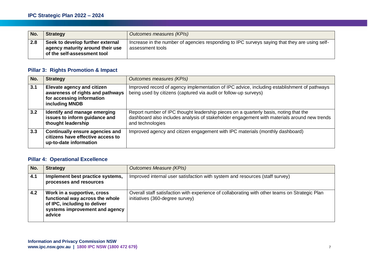| No. | <b>Strategy</b>                                                                                     | Outcomes measures (KPIs)                                                                                          |
|-----|-----------------------------------------------------------------------------------------------------|-------------------------------------------------------------------------------------------------------------------|
| 2.8 | Seek to develop further external<br>agency maturity around their use<br>of the self-assessment tool | Increase in the number of agencies responding to IPC surveys saying that they are using self-<br>assessment tools |

#### **Pillar 3: Rights Promotion & Impact**

| No. | <b>Strategy</b>                                                                                                      | Outcomes measures (KPIs)                                                                                                                                                                                |
|-----|----------------------------------------------------------------------------------------------------------------------|---------------------------------------------------------------------------------------------------------------------------------------------------------------------------------------------------------|
| 3.1 | <b>Elevate agency and citizen</b><br>awareness of rights and pathways<br>for accessing information<br>including MNDB | Improved record of agency implementation of IPC advice, including establishment of pathways<br>being used by citizens (captured via audit or follow-up surveys)                                         |
| 3.2 | Identify and manage emerging<br>issues to inform guidance and<br>thought leadership                                  | Report number of IPC thought leadership pieces on a quarterly basis, noting that the<br>dashboard also includes analysis of stakeholder engagement with materials around new trends<br>and technologies |
| 3.3 | <b>Continually ensure agencies and</b><br>citizens have effective access to<br>up-to-date information                | Improved agency and citizen engagement with IPC materials (monthly dashboard)                                                                                                                           |

#### **Pillar 4: Operational Excellence**

| No. | <b>Strategy</b>                                                                                                                            | <b>Outcomes Measure (KPIs)</b>                                                                                                    |
|-----|--------------------------------------------------------------------------------------------------------------------------------------------|-----------------------------------------------------------------------------------------------------------------------------------|
| 4.1 | Implement best practice systems,<br>processes and resources                                                                                | Improved internal user satisfaction with system and resources (staff survey)                                                      |
| 4.2 | Work in a supportive, cross<br>functional way across the whole<br>of IPC, including to deliver<br>systems improvement and agency<br>advice | Overall staff satisfaction with experience of collaborating with other teams on Strategic Plan<br>initiatives (360-degree survey) |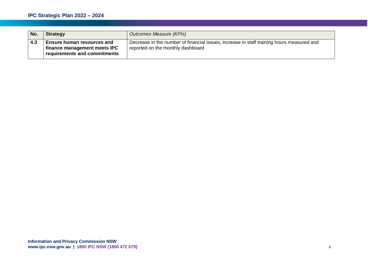| No. | <b>Strategy</b>                                                                                   | Outcomes Measure (KPIs)                                                                                                        |
|-----|---------------------------------------------------------------------------------------------------|--------------------------------------------------------------------------------------------------------------------------------|
| 4.3 | <b>Ensure human resources and</b><br>finance management meets IPC<br>requirements and commitments | Decrease in the number of financial issues, increase in staff training hours measured and<br>reported on the monthly dashboard |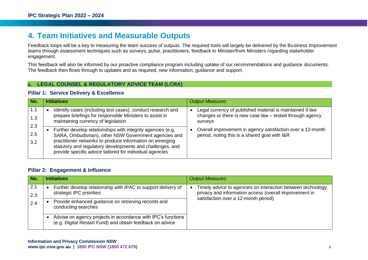# <span id="page-8-0"></span>**4. Team Initiatives and Measurable Outputs**

Feedback loops will be a key to measuring the team success of outputs. The required tools will largely be delivered by the Business Improvement teams through assessment techniques such as surveys, pulse, practitioners, feedback to Minister/from Ministers regarding stakeholder engagement.

This feedback will also be informed by our proactive compliance program including uptake of our recommendations and guidance documents. The feedback then flows through to updates and as required, new information, guidance and support.

#### **a. LEGAL COUNSEL & REGULATORY ADVICE TEAM (LCRA)**

#### **Pillar 1: Service Delivery & Excellence**

| No.               | <b>Initiatives</b>                                                                                                                                                                                                                                                                                      | <b>Output Measures</b>                                                                                                           |
|-------------------|---------------------------------------------------------------------------------------------------------------------------------------------------------------------------------------------------------------------------------------------------------------------------------------------------------|----------------------------------------------------------------------------------------------------------------------------------|
| 1.1<br>1.3        | Identify cases (including test cases), conduct research and<br>prepare briefings for responsible Ministers to assist in<br>maintaining currency of legislation                                                                                                                                          | Legal currency of published material is maintained if law<br>changes or there is new case law - tested through agency<br>surveys |
| 2.3<br>2.5<br>3.2 | Further develop relationships with integrity agencies (e.g.<br>SARA, Ombudsman), other NSW Government agencies and<br>practitioner networks to produce information on emerging<br>statutory and regulatory developments and challenges, and<br>provide specific advice tailored for individual agencies | Overall improvement in agency satisfaction over a 12-month<br>period, noting this is a shared goal with I&R                      |

#### **Pillar 2: Engagement & Influence**

| No.        | <b>Initiatives</b>                                                                                                        | <b>Output Measures</b>                                                                                                 |
|------------|---------------------------------------------------------------------------------------------------------------------------|------------------------------------------------------------------------------------------------------------------------|
| 2.1        | Further develop relationship with IPAC to support delivery of<br>strategic IPC priorities                                 | Timely advice to agencies on interaction between technology,<br>privacy and information access (overall improvement in |
| 2.3<br>2.4 | Provide enhanced guidance on retrieving records and<br>conducting searches                                                | satisfaction over a 12-month period)                                                                                   |
|            | Advise on agency projects in accordance with IPC's functions<br>(e.g. Digital Restart Fund) and obtain feedback on advice |                                                                                                                        |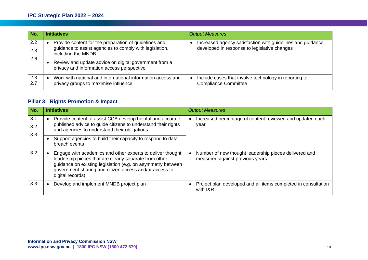| No.        | <b>Initiatives</b>                                                                                                                     | <b>Output Measures</b>                                                                                     |
|------------|----------------------------------------------------------------------------------------------------------------------------------------|------------------------------------------------------------------------------------------------------------|
| 2.2<br>2.3 | Provide content for the preparation of guidelines and<br>guidance to assist agencies to comply with legislation,<br>including the MNDB | Increased agency satisfaction with guidelines and guidance<br>developed in response to legislative changes |
| 2.6        | Review and update advice on digital government from a<br>privacy and information access perspective                                    |                                                                                                            |
| 2.3<br>2.7 | Work with national and international information access and<br>privacy groups to maximise influence                                    | Include cases that involve technology in reporting to<br><b>Compliance Committee</b>                       |

#### **Pillar 3: Rights Promotion & Impact**

| No.               | <b>Initiatives</b>                                                                                                                                                                                                                                                | <b>Output Measures</b>                                                                   |
|-------------------|-------------------------------------------------------------------------------------------------------------------------------------------------------------------------------------------------------------------------------------------------------------------|------------------------------------------------------------------------------------------|
| 3.1<br>3.2<br>3.3 | Provide content to assist CCA develop helpful and accurate<br>published advice to guide citizens to understand their rights<br>and agencies to understand their obligations                                                                                       | Increased percentage of content reviewed and updated each<br>year                        |
|                   | Support agencies to build their capacity to respond to data<br>breach events                                                                                                                                                                                      |                                                                                          |
| 3.2               | Engage with academics and other experts to deliver thought<br>leadership pieces that are clearly separate from other<br>guidance on existing legislation (e.g. on asymmetry between<br>government sharing and citizen access and/or access to<br>digital records) | Number of new thought leadership pieces delivered and<br>measured against previous years |
| 3.3               | Develop and implement MNDB project plan                                                                                                                                                                                                                           | Project plan developed and all items completed in consultation<br>with I&R               |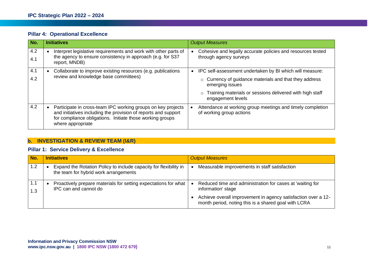|  | <b>Pillar 4: Operational Excellence</b> |  |
|--|-----------------------------------------|--|
|--|-----------------------------------------|--|

| No.        | <b>Initiatives</b>                                                                                                                                                                                               | <b>Output Measures</b>                                                                                                                                                                                                             |
|------------|------------------------------------------------------------------------------------------------------------------------------------------------------------------------------------------------------------------|------------------------------------------------------------------------------------------------------------------------------------------------------------------------------------------------------------------------------------|
| 4.2<br>4.1 | Interpret legislative requirements and work with other parts of<br>the agency to ensure consistency in approach (e.g. for S37<br>report, MNDB)                                                                   | Cohesive and legally accurate policies and resources tested<br>through agency surveys                                                                                                                                              |
| 4.1<br>4.2 | Collaborate to improve existing resources (e.g. publications<br>review and knowledge base committees)                                                                                                            | IPC self-assessment undertaken by BI which will measure:<br>○ Currency of guidance materials and that they address<br>emerging issues<br>Training materials or sessions delivered with high staff<br>$\Omega$<br>engagement levels |
| 4.2        | Participate in cross-team IPC working groups on key projects<br>and initiatives including the provision of reports and support<br>for compliance obligations. Initiate those working groups<br>where appropriate | Attendance at working group meetings and timely completion<br>of working group actions                                                                                                                                             |

#### **b. INVESTIGATION & REVIEW TEAM (I&R)**

#### **Pillar 1: Service Delivery & Excellence**

| No.        | <b>Initiatives</b>                                                                                         | <b>Output Measures</b>                                                                                                |
|------------|------------------------------------------------------------------------------------------------------------|-----------------------------------------------------------------------------------------------------------------------|
| 1.2        | Expand the Rotation Policy to include capacity for flexibility in<br>the team for hybrid work arrangements | Measurable improvements in staff satisfaction                                                                         |
| 1.1<br>1.3 | Proactively prepare materials for setting expectations for what<br>IPC can and cannot do                   | Reduced time and administration for cases at 'waiting for<br>information' stage                                       |
|            |                                                                                                            | Achieve overall improvement in agency satisfaction over a 12-<br>month period, noting this is a shared goal with LCRA |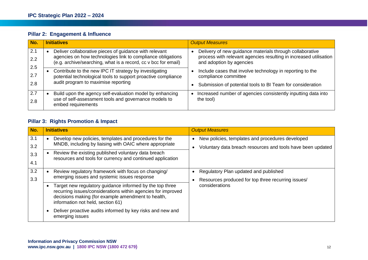|  | <b>Pillar 2: Engagement &amp; Influence</b> |  |
|--|---------------------------------------------|--|
|--|---------------------------------------------|--|

| No.               | <b>Initiatives</b>                                                                                                                                                                      | <b>Output Measures</b>                                                                                                                                    |
|-------------------|-----------------------------------------------------------------------------------------------------------------------------------------------------------------------------------------|-----------------------------------------------------------------------------------------------------------------------------------------------------------|
| 2.1<br>2.2<br>2.5 | Deliver collaborative pieces of guidance with relevant<br>agencies on how technologies link to compliance obligations<br>(e.g. archive/searching, what is a record, cc v bcc for email) | Delivery of new guidance materials through collaborative<br>process with relevant agencies resulting in increased utilisation<br>and adoption by agencies |
| 2.7<br>2.8        | Contribute to the new IPC IT strategy by investigating<br>potential technological tools to support proactive compliance<br>audit program to maximise reporting                          | Include cases that involve technology in reporting to the<br>compliance committee<br>Submission of potential tools to BI Team for consideration           |
| 2.7<br>2.8        | Build upon the agency self-evaluation model by enhancing<br>use of self-assessment tools and governance models to<br>embed requirements                                                 | Increased number of agencies consistently inputting data into<br>the tool)                                                                                |

#### **Pillar 3: Rights Promotion & Impact**

| No.        | <b>Initiatives</b>                                                                                                                                                                                                  | <b>Output Measures</b>                                                                                          |
|------------|---------------------------------------------------------------------------------------------------------------------------------------------------------------------------------------------------------------------|-----------------------------------------------------------------------------------------------------------------|
| 3.1<br>3.2 | Develop new policies, templates and procedures for the<br>MNDB, including by liaising with OAIC where appropriate                                                                                                   | New policies, templates and procedures developed<br>Voluntary data breach resources and tools have been updated |
| 3.3<br>4.1 | Review the existing published voluntary data breach<br>resources and tools for currency and continued application                                                                                                   |                                                                                                                 |
| 3.2<br>3.3 | Review regulatory framework with focus on changing/<br>emerging issues and systemic issues response                                                                                                                 | Regulatory Plan updated and published<br>Resources produced for top three recurring issues/                     |
|            | Target new regulatory guidance informed by the top three<br>recurring issues/considerations within agencies for improved<br>decisions making (for example amendment to health,<br>information not held, section 61) | considerations                                                                                                  |
|            | Deliver proactive audits informed by key risks and new and<br>emerging issues                                                                                                                                       |                                                                                                                 |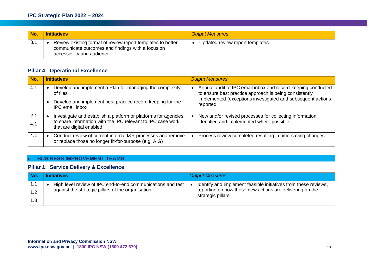| No. | <b>Initiatives</b>                                                                                                                             | <b>Output Measures</b>          |
|-----|------------------------------------------------------------------------------------------------------------------------------------------------|---------------------------------|
| 3.1 | Review existing format of review report templates to better<br>communicate outcomes and findings with a focus on<br>accessibility and audience | Updated review report templates |

#### **Pillar 4: Operational Excellence**

| No.        | <b>Initiatives</b>                                                                                                                                        | <b>Output Measures</b>                                                                                                 |
|------------|-----------------------------------------------------------------------------------------------------------------------------------------------------------|------------------------------------------------------------------------------------------------------------------------|
| 4.1        | Develop and implement a Plan for managing the complexity<br>of files                                                                                      | Annual audit of IPC email inbox and record-keeping conducted<br>to ensure best practice approach is being consistently |
|            | Develop and implement best practice record keeping for the<br><b>IPC</b> email inbox                                                                      | implemented (exceptions investigated and subsequent actions<br>reported                                                |
| 2.1<br>4.1 | Investigate and establish a platform or platforms for agencies<br>to share information with the IPC relevant to IPC case work<br>that are digital enabled | New and/or revised processes for collecting information<br>identified and implemented where possible                   |
| 4.1        | Conduct review of current internal I&R processes and remove<br>or replace those no longer fit-for-purpose (e.g. AIG)                                      | Process review completed resulting in time-saving changes                                                              |

#### **c. BUSINESS IMPROVEMENT TEAMS**

#### **Pillar 1: Service Delivery & Excellence**

| No.        | <b>Initiatives</b>                                                                                                 | <b>Output Measures</b>                                                                                                                           |
|------------|--------------------------------------------------------------------------------------------------------------------|--------------------------------------------------------------------------------------------------------------------------------------------------|
| 1.1<br>1.2 | High level review of IPC end-to-end communications and test  <br>against the strategic pillars of the organisation | Identify and implement feasible initiatives from these reviews,<br>reporting on how these new actions are delivering on the<br>strategic pillars |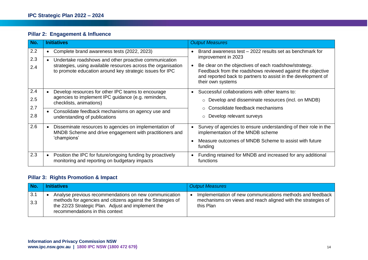### **Pillar 2: Engagement & Influence**

| No.               | <b>Initiatives</b>                                                                                                                   | <b>Output Measures</b>                                                                                                                                                                                    |
|-------------------|--------------------------------------------------------------------------------------------------------------------------------------|-----------------------------------------------------------------------------------------------------------------------------------------------------------------------------------------------------------|
| 2.2<br>2.3        | Complete brand awareness tests (2022, 2023)<br>Undertake roadshows and other proactive communication                                 | Brand awareness test - 2022 results set as benchmark for<br>improvement in 2023                                                                                                                           |
| 2.4               | strategies, using available resources across the organisation<br>to promote education around key strategic issues for IPC            | Be clear on the objectives of each roadshow/strategy.<br>Feedback from the roadshows reviewed against the objective<br>and reported back to partners to assist in the development of<br>their own systems |
| 2.4<br>2.5<br>2.7 | Develop resources for other IPC teams to encourage<br>agencies to implement IPC guidance (e.g. reminders,<br>checklists, animations) | Successful collaborations with other teams to:<br>$\circ$ Develop and disseminate resources (incl. on MNDB)<br>$\circ$ Consolidate feedback mechanisms                                                    |
| 2.8               | Consolidate feedback mechanisms on agency use and<br>understanding of publications                                                   | $\circ$ Develop relevant surveys                                                                                                                                                                          |
| 2.6               | Disseminate resources to agencies on implementation of<br>MNDB Scheme and drive engagement with practitioners and                    | Survey of agencies to ensure understanding of their role in the<br>implementation of the MNDB scheme                                                                                                      |
|                   | 'champions'                                                                                                                          | Measure outcomes of MNDB Scheme to assist with future<br>funding                                                                                                                                          |
| 2.3               | Position the IPC for future/ongoing funding by proactively<br>monitoring and reporting on budgetary impacts                          | Funding retained for MNDB and increased for any additional<br>functions                                                                                                                                   |

#### **Pillar 3: Rights Promotion & Impact**

| ∣ No.      | <b>Initiatives</b>                                                                                                                                                                                            | <b>Output Measures</b>                                                                                                                 |
|------------|---------------------------------------------------------------------------------------------------------------------------------------------------------------------------------------------------------------|----------------------------------------------------------------------------------------------------------------------------------------|
| 3.1<br>3.3 | Analyse previous recommendations on new communication<br>methods for agencies and citizens against the Strategies of<br>the 22/23 Strategic Plan. Adjust and implement the<br>recommendations in this context | Implementation of new communications methods and feedback<br>mechanisms on views and reach aligned with the strategies of<br>this Plan |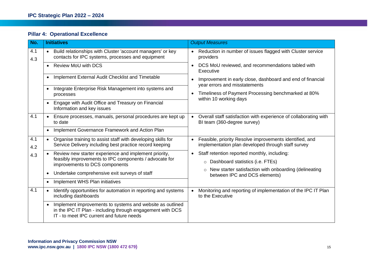|  | <b>Pillar 4: Operational Excellence</b> |  |
|--|-----------------------------------------|--|
|--|-----------------------------------------|--|

| No.        | <b>Initiatives</b>                                                                                                                                                   | <b>Output Measures</b>                                                                                                                                                                                                                                                                                                                              |
|------------|----------------------------------------------------------------------------------------------------------------------------------------------------------------------|-----------------------------------------------------------------------------------------------------------------------------------------------------------------------------------------------------------------------------------------------------------------------------------------------------------------------------------------------------|
| 4.1<br>4.3 | Build relationships with Cluster 'account managers' or key<br>contacts for IPC systems, processes and equipment                                                      | Reduction in number of issues flagged with Cluster service<br>providers<br>DCS MoU reviewed, and recommendations tabled with<br>$\bullet$<br>Executive<br>Improvement in early close, dashboard and end of financial<br>$\bullet$<br>year errors and misstatements<br>Timeliness of Payment Processing benchmarked at 80%<br>within 10 working days |
|            | <b>Review MoU with DCS</b><br>$\bullet$                                                                                                                              |                                                                                                                                                                                                                                                                                                                                                     |
|            | Implement External Audit Checklist and Timetable                                                                                                                     |                                                                                                                                                                                                                                                                                                                                                     |
|            | Integrate Enterprise Risk Management into systems and<br>processes                                                                                                   |                                                                                                                                                                                                                                                                                                                                                     |
|            | Engage with Audit Office and Treasury on Financial<br>Information and key issues                                                                                     |                                                                                                                                                                                                                                                                                                                                                     |
| 4.1        | Ensure processes, manuals, personal procedures are kept up<br>$\bullet$<br>to date                                                                                   | Overall staff satisfaction with experience of collaborating with<br>BI team (360-degree survey)                                                                                                                                                                                                                                                     |
|            | Implement Governance Framework and Action Plan<br>$\bullet$                                                                                                          |                                                                                                                                                                                                                                                                                                                                                     |
| 4.1<br>4.2 | Organise training to assist staff with developing skills for<br>$\bullet$<br>Service Delivery including best practice record keeping                                 | Feasible, priority Resolve improvements identified, and<br>implementation plan developed through staff survey                                                                                                                                                                                                                                       |
| 4.3        | Review new starter experience and implement priority,<br>feasibly improvements to IPC components / advocate for<br>improvements to DCS components                    | Staff retention reported monthly, including:<br>$\bullet$                                                                                                                                                                                                                                                                                           |
|            |                                                                                                                                                                      | $\circ$ Dashboard statistics (i.e. FTEs)                                                                                                                                                                                                                                                                                                            |
|            | Undertake comprehensive exit surveys of staff<br>$\bullet$                                                                                                           | ○ New starter satisfaction with onboarding (delineating<br>between IPC and DCS elements)                                                                                                                                                                                                                                                            |
|            | Implement WHS Plan initiatives                                                                                                                                       |                                                                                                                                                                                                                                                                                                                                                     |
| 4.1        | Identify opportunities for automation in reporting and systems<br>$\bullet$<br>including dashboards                                                                  | Monitoring and reporting of implementation of the IPC IT Plan<br>to the Executive                                                                                                                                                                                                                                                                   |
|            | Implement improvements to systems and website as outlined<br>in the IPC IT Plan - including through engagement with DCS<br>IT - to meet IPC current and future needs |                                                                                                                                                                                                                                                                                                                                                     |